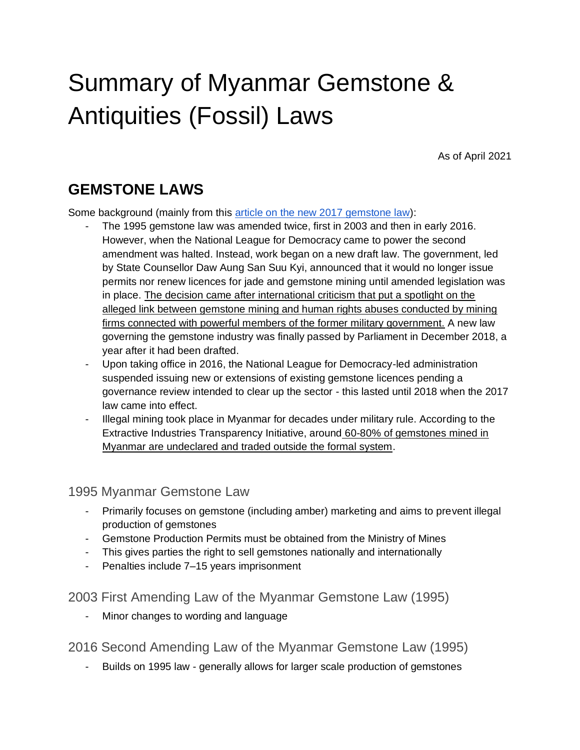# Summary of Myanmar Gemstone & Antiquities (Fossil) Laws

As of April 2021

### **GEMSTONE LAWS**

Some background (mainly from this [article on the new 2017 gemstone law\)](https://oxfordbusinessgroup.com/analysis/ongoing-process-new-legislation-aims-better-regulate-gemstone-industry):

- The 1995 gemstone law was amended twice, first in 2003 and then in early 2016. However, when the National League for Democracy came to power the second amendment was halted. Instead, work began on a new draft law. The government, led by State Counsellor Daw Aung San Suu Kyi, announced that it would no longer issue permits nor renew licences for jade and gemstone mining until amended legislation was in place. The decision came after international criticism that put a spotlight on the alleged link between gemstone mining and human rights abuses conducted by mining firms connected with powerful members of the former military government. A new law governing the gemstone industry was finally passed by Parliament in December 2018, a year after it had been drafted.
- Upon taking office in 2016, the National League for Democracy-led administration suspended issuing new or extensions of existing gemstone licences pending a governance review intended to clear up the sector - this lasted until 2018 when the 2017 law came into effect.
- Illegal mining took place in Myanmar for decades under military rule. According to the Extractive Industries Transparency Initiative, around 60-80% of gemstones mined in Myanmar are undeclared and traded outside the formal system.

1995 Myanmar Gemstone Law

- Primarily focuses on gemstone (including amber) marketing and aims to prevent illegal production of gemstones
- Gemstone Production Permits must be obtained from the Ministry of Mines
- This gives parties the right to sell gemstones nationally and internationally
- Penalties include 7–15 years imprisonment

2003 First Amending Law of the Myanmar Gemstone Law (1995)

Minor changes to wording and language

2016 Second Amending Law of the Myanmar Gemstone Law (1995)

- Builds on 1995 law - generally allows for larger scale production of gemstones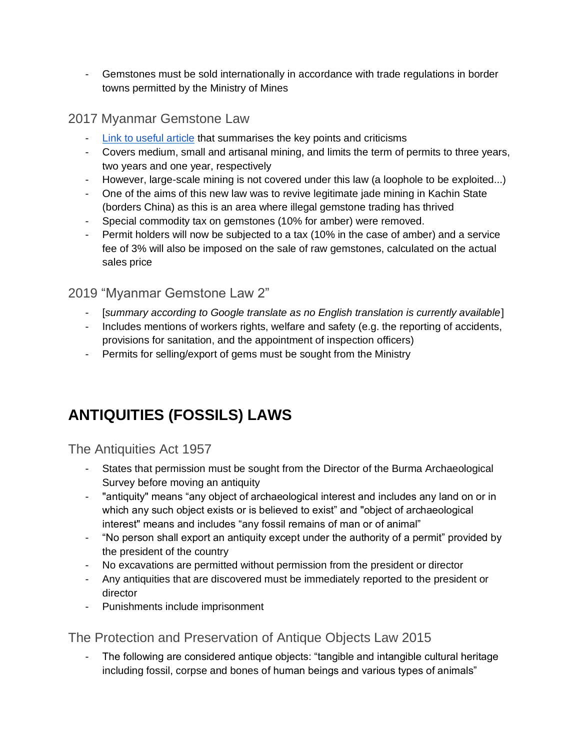- Gemstones must be sold internationally in accordance with trade regulations in border towns permitted by the Ministry of Mines

#### 2017 Myanmar Gemstone Law

- [Link to useful article](https://oxfordbusinessgroup.com/analysis/ongoing-process-new-legislation-aims-better-regulate-gemstone-industry) that summarises the key points and criticisms
- Covers medium, small and artisanal mining, and limits the term of permits to three years, two years and one year, respectively
- However, large-scale mining is not covered under this law (a loophole to be exploited...)
- One of the aims of this new law was to revive legitimate jade mining in Kachin State (borders China) as this is an area where illegal gemstone trading has thrived
- Special commodity tax on gemstones (10% for amber) were removed.
- Permit holders will now be subjected to a tax (10% in the case of amber) and a service fee of 3% will also be imposed on the sale of raw gemstones, calculated on the actual sales price

#### 2019 "Myanmar Gemstone Law 2"

- [*summary according to Google translate as no English translation is currently available*]
- Includes mentions of workers rights, welfare and safety (e.g. the reporting of accidents, provisions for sanitation, and the appointment of inspection officers)
- Permits for selling/export of gems must be sought from the Ministry

## **ANTIQUITIES (FOSSILS) LAWS**

The Antiquities Act 1957

- States that permission must be sought from the Director of the Burma Archaeological Survey before moving an antiquity
- "antiquity" means "any object of archaeological interest and includes any land on or in which any such object exists or is believed to exist" and "object of archaeological interest" means and includes "any fossil remains of man or of animal"
- "No person shall export an antiquity except under the authority of a permit" provided by the president of the country
- No excavations are permitted without permission from the president or director
- Any antiquities that are discovered must be immediately reported to the president or director
- Punishments include imprisonment

#### The Protection and Preservation of Antique Objects Law 2015

The following are considered antique objects: "tangible and intangible cultural heritage including fossil, corpse and bones of human beings and various types of animals"